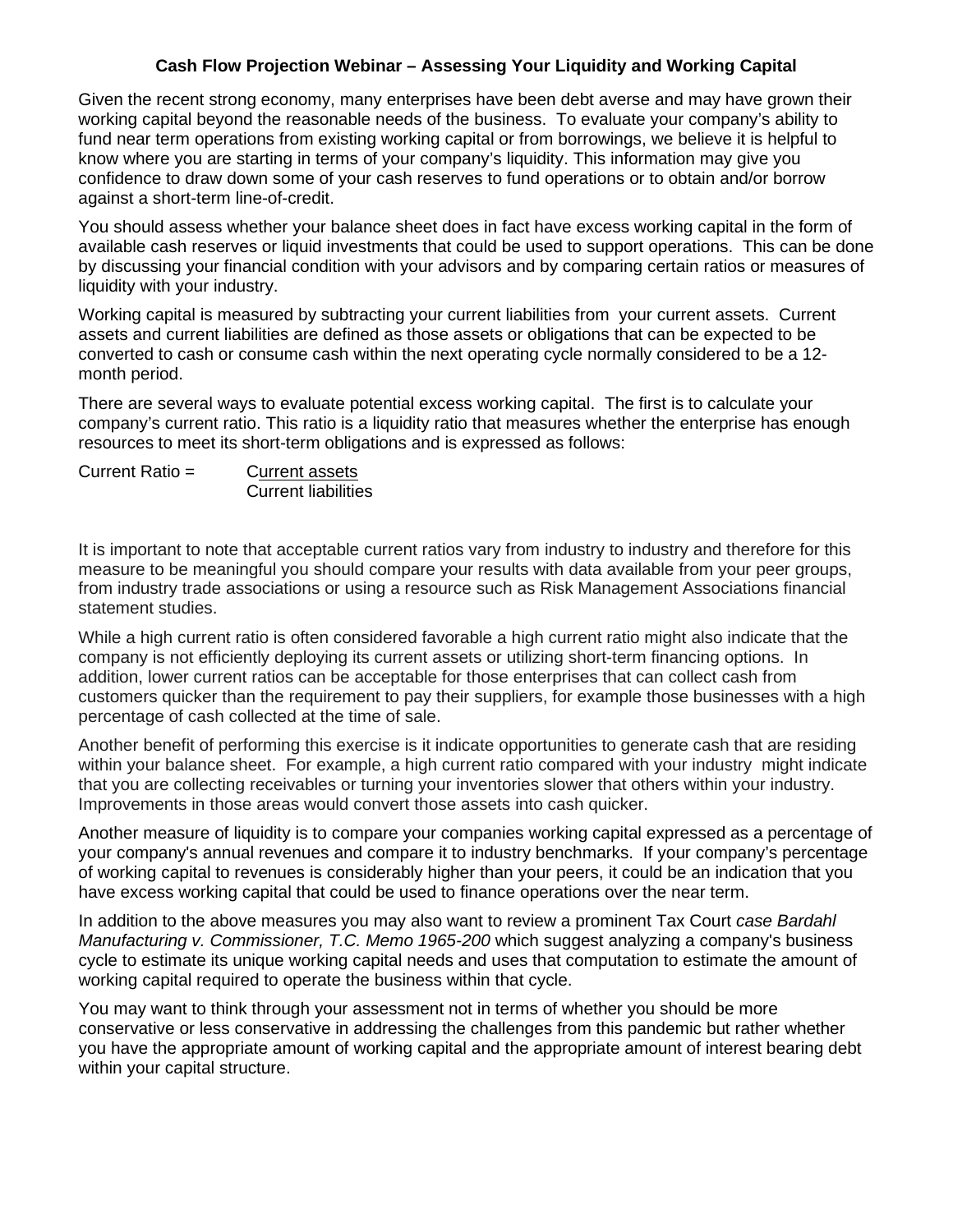## **Cash Flow Projection Webinar – Assessing Your Liquidity and Working Capital**

Given the recent strong economy, many enterprises have been debt averse and may have grown their working capital beyond the reasonable needs of the business. To evaluate your company's ability to fund near term operations from existing working capital or from borrowings, we believe it is helpful to know where you are starting in terms of your company's liquidity. This information may give you confidence to draw down some of your cash reserves to fund operations or to obtain and/or borrow against a short-term line-of-credit.

You should assess whether your balance sheet does in fact have excess working capital in the form of available cash reserves or liquid investments that could be used to support operations. This can be done by discussing your financial condition with your advisors and by comparing certain ratios or measures of liquidity with your industry.

Working capital is measured by subtracting your current liabilities from your current assets. Current assets and current liabilities are defined as those assets or obligations that can be expected to be converted to cash or consume cash within the next operating cycle normally considered to be a 12 month period.

There are several ways to evaluate potential excess working capital. The first is to calculate your company's current ratio. This ratio is a liquidity ratio that measures whether the enterprise has enough resources to meet its short-term obligations and is expressed as follows:

Current Ratio = Current assets Current liabilities

It is important to note that acceptable current ratios vary from industry to industry and therefore for this measure to be meaningful you should compare your results with data available from your peer groups, from industry trade associations or using a resource such as Risk Management Associations financial statement studies.

While a high current ratio is often considered favorable a high current ratio might also indicate that the company is not efficiently deploying its current assets or utilizing short-term financing options. In addition, lower current ratios can be acceptable for those enterprises that can collect cash from customers quicker than the requirement to pay their suppliers, for example those businesses with a high percentage of cash collected at the time of sale.

Another benefit of performing this exercise is it indicate opportunities to generate cash that are residing within your balance sheet. For example, a high current ratio compared with your industry might indicate that you are collecting receivables or turning your inventories slower that others within your industry. Improvements in those areas would convert those assets into cash quicker.

Another measure of liquidity is to compare your companies working capital expressed as a percentage of your company's annual revenues and compare it to industry benchmarks. If your company's percentage of working capital to revenues is considerably higher than your peers, it could be an indication that you have excess working capital that could be used to finance operations over the near term.

In addition to the above measures you may also want to review a prominent Tax Court *case Bardahl Manufacturing v. Commissioner, T.C. Memo 1965-200* which suggest analyzing a company's business cycle to estimate its unique working capital needs and uses that computation to estimate the amount of working capital required to operate the business within that cycle.

You may want to think through your assessment not in terms of whether you should be more conservative or less conservative in addressing the challenges from this pandemic but rather whether you have the appropriate amount of working capital and the appropriate amount of interest bearing debt within your capital structure.